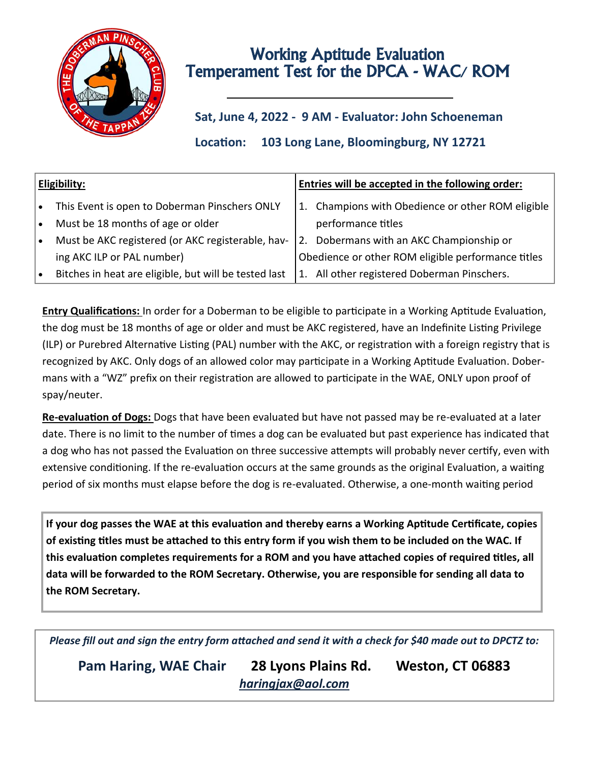

# Working Aptitude Evaluation Temperament Test for the DPCA - WAC/ ROM

## **Sat, June 4, 2022 - 9 AM - Evaluator: John Schoeneman**

**Location: 103 Long Lane, Bloomingburg, NY 12721**

| Eligibility: |                                                       | Entries will be accepted in the following order: |                                                    |  |  |
|--------------|-------------------------------------------------------|--------------------------------------------------|----------------------------------------------------|--|--|
| i∙.          | This Event is open to Doberman Pinschers ONLY         |                                                  | 1. Champions with Obedience or other ROM eligible  |  |  |
| $\bullet$    | Must be 18 months of age or older                     |                                                  | performance titles                                 |  |  |
| ۱.           | Must be AKC registered (or AKC registerable, hav-     | 2.                                               | Dobermans with an AKC Championship or              |  |  |
|              | ing AKC ILP or PAL number)                            |                                                  | Obedience or other ROM eligible performance titles |  |  |
| $\bullet$    | Bitches in heat are eligible, but will be tested last |                                                  | 1. All other registered Doberman Pinschers.        |  |  |

**Entry Qualifications:** In order for a Doberman to be eligible to participate in a Working Aptitude Evaluation, the dog must be 18 months of age or older and must be AKC registered, have an Indefinite Listing Privilege (ILP) or Purebred Alternative Listing (PAL) number with the AKC, or registration with a foreign registry that is recognized by AKC. Only dogs of an allowed color may participate in a Working Aptitude Evaluation. Dobermans with a "WZ" prefix on their registration are allowed to participate in the WAE, ONLY upon proof of spay/neuter.

**Re-evaluation of Dogs:** Dogs that have been evaluated but have not passed may be re-evaluated at a later date. There is no limit to the number of times a dog can be evaluated but past experience has indicated that a dog who has not passed the Evaluation on three successive attempts will probably never certify, even with extensive conditioning. If the re-evaluation occurs at the same grounds as the original Evaluation, a waiting period of six months must elapse before the dog is re-evaluated. Otherwise, a one-month waiting period

**If your dog passes the WAE at this evaluation and thereby earns a Working Aptitude Certificate, copies of existing titles must be attached to this entry form if you wish them to be included on the WAC. If this evaluation completes requirements for a ROM and you have attached copies of required titles, all data will be forwarded to the ROM Secretary. Otherwise, you are responsible for sending all data to the ROM Secretary.** 

*Please fill out and sign the entry form attached and send it with a check for \$40 made out to DPCTZ to:* 

**Pam Haring, WAE Chair 28 Lyons Plains Rd. Weston, CT 06883** *haringjax@aol.com*